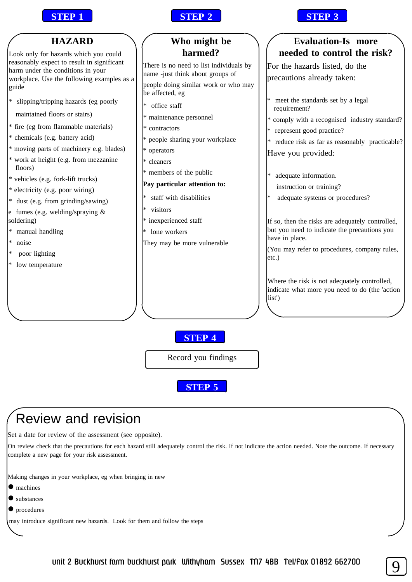



| <b>HAZARD</b>                                                                                                                                                                                                                                                                                                                                                                     | Who might be                                                                                                                                                                                                                | <b>Evaluation-Is more</b>                                                                                                                                                                                                                                                                                      |
|-----------------------------------------------------------------------------------------------------------------------------------------------------------------------------------------------------------------------------------------------------------------------------------------------------------------------------------------------------------------------------------|-----------------------------------------------------------------------------------------------------------------------------------------------------------------------------------------------------------------------------|----------------------------------------------------------------------------------------------------------------------------------------------------------------------------------------------------------------------------------------------------------------------------------------------------------------|
| Look only for hazards which you could                                                                                                                                                                                                                                                                                                                                             | harmed?                                                                                                                                                                                                                     | needed to control the risk?                                                                                                                                                                                                                                                                                    |
| reasonably expect to result in significant<br>harm under the conditions in your<br>workplace. Use the following examples as a<br>guide                                                                                                                                                                                                                                            | There is no need to list individuals by<br>name -just think about groups of<br>people doing similar work or who may<br>be affected, eg                                                                                      | For the hazards listed, do the<br>precautions already taken:                                                                                                                                                                                                                                                   |
| $\ast$<br>slipping/tripping hazards (eg poorly<br>maintained floors or stairs)<br>* fire (eg from flammable materials)<br>* chemicals (e.g. battery acid)<br>* moving parts of machinery e.g. blades)<br>* work at height (e.g. from mezzanine<br>floors)<br>* vehicles (e.g. fork-lift trucks)<br>* electricity (e.g. poor wiring)<br>dust (e.g. from grinding/sawing)<br>$\ast$ | office staff<br>∗<br>* maintenance personnel<br>* contractors<br>people sharing your workplace<br>* operators<br>* cleaners<br>* members of the public<br>Pay particular attention to:<br>staff with disabilities<br>$\ast$ | meet the standards set by a legal<br>requirement?<br>* comply with a recognised industry standard?<br>represent good practice?<br>reduce risk as far as reasonably practicable?<br>$*$<br>Have you provided:<br>adequate information.<br>$\ast$<br>instruction or training?<br>adequate systems or procedures? |
| fumes (e.g. welding/spraying &<br>soldering)<br>manual handling<br>$\ast$<br>noise<br>∗<br>poor lighting<br>low temperature                                                                                                                                                                                                                                                       | visitors<br>* inexperienced staff<br>lone workers<br>They may be more vulnerable                                                                                                                                            | If so, then the risks are adequately controlled,<br>but you need to indicate the precautions you<br>have in place.<br>(You may refer to procedures, company rules,<br>etc.)<br>Where the risk is not adequately controlled,<br>indicate what more you need to do (the 'action<br>list')                        |
|                                                                                                                                                                                                                                                                                                                                                                                   | <b>STEP 4</b><br>Record you findings<br><b>STEP 5</b>                                                                                                                                                                       |                                                                                                                                                                                                                                                                                                                |

## Review and revision

Set a date for review of the assessment (see opposite).

On review check that the precautions for each hazard still adequately control the risk. If not indicate the action needed. Note the outcome. If necessary complete a new page for your risk assessment.

Making changes in your workplace, eg when bringing in new

- $\bullet$  machines
- $\bullet$  substances
- $\bullet$  procedures

may introduce significant new hazards. Look for them and follow the steps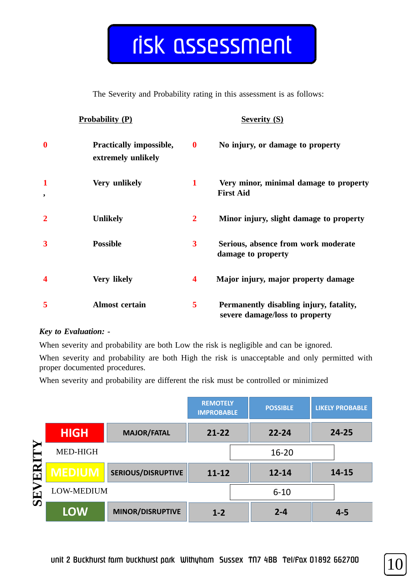## risk assessment

The Severity and Probability rating in this assessment is as follows:

| <b>Probability (P)</b>  |                                                      | <b>Severity (S)</b>     |                                                                           |
|-------------------------|------------------------------------------------------|-------------------------|---------------------------------------------------------------------------|
| $\overline{\mathbf{0}}$ | <b>Practically impossible,</b><br>extremely unlikely | $\boldsymbol{0}$        | No injury, or damage to property                                          |
| ,                       | Very unlikely                                        | $\mathbf{1}$            | Very minor, minimal damage to property<br><b>First Aid</b>                |
|                         | <b>Unlikely</b>                                      | $\overline{2}$          | Minor injury, slight damage to property                                   |
| 3                       | <b>Possible</b>                                      | $\overline{\mathbf{3}}$ | Serious, absence from work moderate<br>damage to property                 |
| 4                       | <b>Very likely</b>                                   | $\overline{\mathbf{4}}$ | Major injury, major property damage                                       |
| 5                       | <b>Almost certain</b>                                | 5                       | Permanently disabling injury, fatality,<br>severe damage/loss to property |

## *Key to Evaluation: -*

When severity and probability are both Low the risk is negligible and can be ignored.

When severity and probability are both High the risk is unacceptable and only permitted with proper documented procedures.

When severity and probability are different the risk must be controlled or minimized

|                                        |               |                           | <b>REMOTELY</b><br><b>IMPROBABLE</b> | <b>POSSIBLE</b> | <b>LIKELY PROBABLE</b> |
|----------------------------------------|---------------|---------------------------|--------------------------------------|-----------------|------------------------|
|                                        | <b>HIGH</b>   | <b>MAJOR/FATAL</b>        | $21 - 22$                            | $22 - 24$       | $24 - 25$              |
| Y                                      | MED-HIGH      |                           |                                      | $16 - 20$       |                        |
| $\boldsymbol{\approx}$<br>$\mathbf{E}$ | <b>MEDIUM</b> | <b>SERIOUS/DISRUPTIVE</b> | $11 - 12$                            | $12 - 14$       | 14-15                  |
| SEVI                                   | LOW-MEDIUM    |                           |                                      | $6 - 10$        |                        |
|                                        | <b>LOW</b>    | MINOR/DISRUPTIVE          | $1 - 2$                              | $2 - 4$         | $4 - 5$                |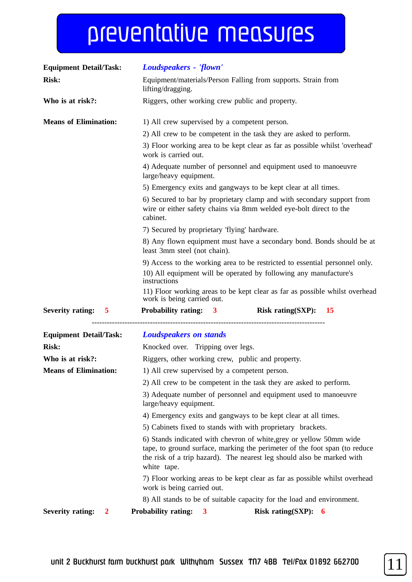## preventative measures

| <b>Equipment Detail/Task:</b>           | Loudspeakers - 'flown'                                                                                                                                                                                                                     |
|-----------------------------------------|--------------------------------------------------------------------------------------------------------------------------------------------------------------------------------------------------------------------------------------------|
| <b>Risk:</b>                            | Equipment/materials/Person Falling from supports. Strain from<br>lifting/dragging.                                                                                                                                                         |
| Who is at risk?:                        | Riggers, other working crew public and property.                                                                                                                                                                                           |
| <b>Means of Elimination:</b>            | 1) All crew supervised by a competent person.                                                                                                                                                                                              |
|                                         | 2) All crew to be competent in the task they are asked to perform.                                                                                                                                                                         |
|                                         | 3) Floor working area to be kept clear as far as possible whilst 'overhead'<br>work is carried out.                                                                                                                                        |
|                                         | 4) Adequate number of personnel and equipment used to manoeuvre<br>large/heavy equipment.                                                                                                                                                  |
|                                         | 5) Emergency exits and gangways to be kept clear at all times.                                                                                                                                                                             |
|                                         | 6) Secured to bar by proprietary clamp and with secondary support from<br>wire or either safety chains via 8mm welded eye-bolt direct to the<br>cabinet.                                                                                   |
|                                         | 7) Secured by proprietary 'flying' hardware.                                                                                                                                                                                               |
|                                         | 8) Any flown equipment must have a secondary bond. Bonds should be at<br>least 3mm steel (not chain).                                                                                                                                      |
|                                         | 9) Access to the working area to be restricted to essential personnel only.                                                                                                                                                                |
|                                         | 10) All equipment will be operated by following any manufacture's<br>instructions                                                                                                                                                          |
|                                         | 11) Floor working areas to be kept clear as far as possible whilst overhead<br>work is being carried out.                                                                                                                                  |
| <b>Severity rating: 5</b>               | Probability rating: 3<br>Risk rating(SXP): $15$                                                                                                                                                                                            |
| <b>Equipment Detail/Task:</b>           | <b>Loudspeakers on stands</b>                                                                                                                                                                                                              |
| <b>Risk:</b>                            | Knocked over. Tripping over legs.                                                                                                                                                                                                          |
| Who is at risk?:                        | Riggers, other working crew, public and property.                                                                                                                                                                                          |
| <b>Means of Elimination:</b>            | 1) All crew supervised by a competent person.                                                                                                                                                                                              |
|                                         | 2) All crew to be competent in the task they are asked to perform.                                                                                                                                                                         |
|                                         | 3) Adequate number of personnel and equipment used to manoeuvre<br>large/heavy equipment.                                                                                                                                                  |
|                                         | 4) Emergency exits and gangways to be kept clear at all times.                                                                                                                                                                             |
|                                         | 5) Cabinets fixed to stands with with proprietary brackets.                                                                                                                                                                                |
|                                         | 6) Stands indicated with chevron of white, grey or yellow 50mm wide<br>tape, to ground surface, marking the perimeter of the foot span (to reduce<br>the risk of a trip hazard). The nearest leg should also be marked with<br>white tape. |
|                                         | 7) Floor working areas to be kept clear as far as possible whilst overhead<br>work is being carried out.                                                                                                                                   |
|                                         | 8) All stands to be of suitable capacity for the load and environment.                                                                                                                                                                     |
| <b>Severity rating:</b><br>$\mathbf{2}$ | <b>Probability rating:</b><br>Risk rating(SXP): $6$<br>3                                                                                                                                                                                   |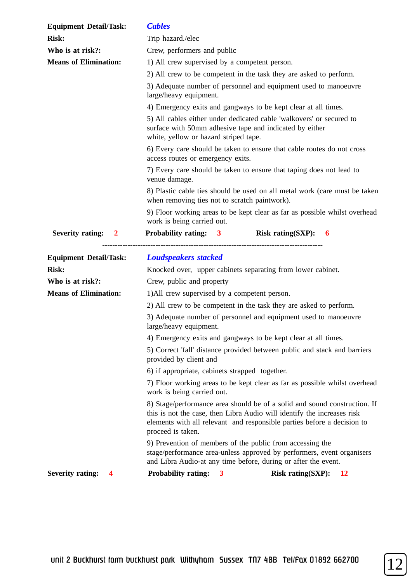| <b>Risk:</b><br>Trip hazard./elec<br>Who is at risk?:<br>Crew, performers and public<br><b>Means of Elimination:</b><br>1) All crew supervised by a competent person.<br>2) All crew to be competent in the task they are asked to perform.<br>3) Adequate number of personnel and equipment used to manoeuvre<br>large/heavy equipment.<br>4) Emergency exits and gangways to be kept clear at all times.<br>5) All cables either under dedicated cable 'walkovers' or secured to<br>surface with 50mm adhesive tape and indicated by either<br>white, yellow or hazard striped tape.<br>6) Every care should be taken to ensure that cable routes do not cross<br>access routes or emergency exits.<br>7) Every care should be taken to ensure that taping does not lead to<br>venue damage.<br>8) Plastic cable ties should be used on all metal work (care must be taken<br>when removing ties not to scratch paintwork).<br>9) Floor working areas to be kept clear as far as possible whilst overhead<br>work is being carried out.<br><b>Probability rating: 3</b><br><b>Severity rating:</b><br>Risk rating(SXP): $6$<br>$\overline{\mathbf{2}}$<br><b>Loudspeakers stacked</b><br><b>Equipment Detail/Task:</b><br><b>Risk:</b><br>Knocked over, upper cabinets separating from lower cabinet.<br>Who is at risk?:<br>Crew, public and property<br><b>Means of Elimination:</b><br>1) All crew supervised by a competent person.<br>2) All crew to be competent in the task they are asked to perform.<br>3) Adequate number of personnel and equipment used to manoeuvre |  |
|------------------------------------------------------------------------------------------------------------------------------------------------------------------------------------------------------------------------------------------------------------------------------------------------------------------------------------------------------------------------------------------------------------------------------------------------------------------------------------------------------------------------------------------------------------------------------------------------------------------------------------------------------------------------------------------------------------------------------------------------------------------------------------------------------------------------------------------------------------------------------------------------------------------------------------------------------------------------------------------------------------------------------------------------------------------------------------------------------------------------------------------------------------------------------------------------------------------------------------------------------------------------------------------------------------------------------------------------------------------------------------------------------------------------------------------------------------------------------------------------------------------------------------------------------------------------------------|--|
|                                                                                                                                                                                                                                                                                                                                                                                                                                                                                                                                                                                                                                                                                                                                                                                                                                                                                                                                                                                                                                                                                                                                                                                                                                                                                                                                                                                                                                                                                                                                                                                    |  |
|                                                                                                                                                                                                                                                                                                                                                                                                                                                                                                                                                                                                                                                                                                                                                                                                                                                                                                                                                                                                                                                                                                                                                                                                                                                                                                                                                                                                                                                                                                                                                                                    |  |
|                                                                                                                                                                                                                                                                                                                                                                                                                                                                                                                                                                                                                                                                                                                                                                                                                                                                                                                                                                                                                                                                                                                                                                                                                                                                                                                                                                                                                                                                                                                                                                                    |  |
|                                                                                                                                                                                                                                                                                                                                                                                                                                                                                                                                                                                                                                                                                                                                                                                                                                                                                                                                                                                                                                                                                                                                                                                                                                                                                                                                                                                                                                                                                                                                                                                    |  |
|                                                                                                                                                                                                                                                                                                                                                                                                                                                                                                                                                                                                                                                                                                                                                                                                                                                                                                                                                                                                                                                                                                                                                                                                                                                                                                                                                                                                                                                                                                                                                                                    |  |
|                                                                                                                                                                                                                                                                                                                                                                                                                                                                                                                                                                                                                                                                                                                                                                                                                                                                                                                                                                                                                                                                                                                                                                                                                                                                                                                                                                                                                                                                                                                                                                                    |  |
|                                                                                                                                                                                                                                                                                                                                                                                                                                                                                                                                                                                                                                                                                                                                                                                                                                                                                                                                                                                                                                                                                                                                                                                                                                                                                                                                                                                                                                                                                                                                                                                    |  |
|                                                                                                                                                                                                                                                                                                                                                                                                                                                                                                                                                                                                                                                                                                                                                                                                                                                                                                                                                                                                                                                                                                                                                                                                                                                                                                                                                                                                                                                                                                                                                                                    |  |
|                                                                                                                                                                                                                                                                                                                                                                                                                                                                                                                                                                                                                                                                                                                                                                                                                                                                                                                                                                                                                                                                                                                                                                                                                                                                                                                                                                                                                                                                                                                                                                                    |  |
|                                                                                                                                                                                                                                                                                                                                                                                                                                                                                                                                                                                                                                                                                                                                                                                                                                                                                                                                                                                                                                                                                                                                                                                                                                                                                                                                                                                                                                                                                                                                                                                    |  |
|                                                                                                                                                                                                                                                                                                                                                                                                                                                                                                                                                                                                                                                                                                                                                                                                                                                                                                                                                                                                                                                                                                                                                                                                                                                                                                                                                                                                                                                                                                                                                                                    |  |
|                                                                                                                                                                                                                                                                                                                                                                                                                                                                                                                                                                                                                                                                                                                                                                                                                                                                                                                                                                                                                                                                                                                                                                                                                                                                                                                                                                                                                                                                                                                                                                                    |  |
|                                                                                                                                                                                                                                                                                                                                                                                                                                                                                                                                                                                                                                                                                                                                                                                                                                                                                                                                                                                                                                                                                                                                                                                                                                                                                                                                                                                                                                                                                                                                                                                    |  |
|                                                                                                                                                                                                                                                                                                                                                                                                                                                                                                                                                                                                                                                                                                                                                                                                                                                                                                                                                                                                                                                                                                                                                                                                                                                                                                                                                                                                                                                                                                                                                                                    |  |
|                                                                                                                                                                                                                                                                                                                                                                                                                                                                                                                                                                                                                                                                                                                                                                                                                                                                                                                                                                                                                                                                                                                                                                                                                                                                                                                                                                                                                                                                                                                                                                                    |  |
|                                                                                                                                                                                                                                                                                                                                                                                                                                                                                                                                                                                                                                                                                                                                                                                                                                                                                                                                                                                                                                                                                                                                                                                                                                                                                                                                                                                                                                                                                                                                                                                    |  |
|                                                                                                                                                                                                                                                                                                                                                                                                                                                                                                                                                                                                                                                                                                                                                                                                                                                                                                                                                                                                                                                                                                                                                                                                                                                                                                                                                                                                                                                                                                                                                                                    |  |
| large/heavy equipment.                                                                                                                                                                                                                                                                                                                                                                                                                                                                                                                                                                                                                                                                                                                                                                                                                                                                                                                                                                                                                                                                                                                                                                                                                                                                                                                                                                                                                                                                                                                                                             |  |
| 4) Emergency exits and gangways to be kept clear at all times.                                                                                                                                                                                                                                                                                                                                                                                                                                                                                                                                                                                                                                                                                                                                                                                                                                                                                                                                                                                                                                                                                                                                                                                                                                                                                                                                                                                                                                                                                                                     |  |
| 5) Correct 'fall' distance provided between public and stack and barriers<br>provided by client and                                                                                                                                                                                                                                                                                                                                                                                                                                                                                                                                                                                                                                                                                                                                                                                                                                                                                                                                                                                                                                                                                                                                                                                                                                                                                                                                                                                                                                                                                |  |
| 6) if appropriate, cabinets strapped together.                                                                                                                                                                                                                                                                                                                                                                                                                                                                                                                                                                                                                                                                                                                                                                                                                                                                                                                                                                                                                                                                                                                                                                                                                                                                                                                                                                                                                                                                                                                                     |  |
| 7) Floor working areas to be kept clear as far as possible whilst overhead<br>work is being carried out.                                                                                                                                                                                                                                                                                                                                                                                                                                                                                                                                                                                                                                                                                                                                                                                                                                                                                                                                                                                                                                                                                                                                                                                                                                                                                                                                                                                                                                                                           |  |
| 8) Stage/performance area should be of a solid and sound construction. If<br>this is not the case, then Libra Audio will identify the increases risk<br>elements with all relevant and responsible parties before a decision to<br>proceed is taken.                                                                                                                                                                                                                                                                                                                                                                                                                                                                                                                                                                                                                                                                                                                                                                                                                                                                                                                                                                                                                                                                                                                                                                                                                                                                                                                               |  |
| 9) Prevention of members of the public from accessing the<br>stage/performance area-unless approved by performers, event organisers<br>and Libra Audio-at any time before, during or after the event.                                                                                                                                                                                                                                                                                                                                                                                                                                                                                                                                                                                                                                                                                                                                                                                                                                                                                                                                                                                                                                                                                                                                                                                                                                                                                                                                                                              |  |
| <b>Severity rating:</b><br><b>Probability rating:</b><br><b>Risk rating(SXP):</b><br><b>12</b><br>3<br>4                                                                                                                                                                                                                                                                                                                                                                                                                                                                                                                                                                                                                                                                                                                                                                                                                                                                                                                                                                                                                                                                                                                                                                                                                                                                                                                                                                                                                                                                           |  |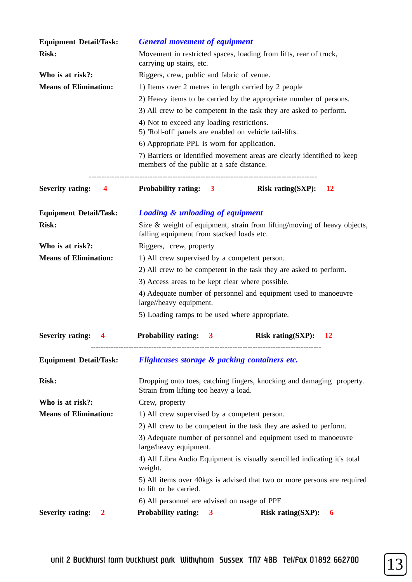| <b>Equipment Detail/Task:</b>           | <b>General movement of equipment</b>                                                                                  |  |
|-----------------------------------------|-----------------------------------------------------------------------------------------------------------------------|--|
| <b>Risk:</b>                            | Movement in restricted spaces, loading from lifts, rear of truck,<br>carrying up stairs, etc.                         |  |
| Who is at risk?:                        | Riggers, crew, public and fabric of venue.                                                                            |  |
| <b>Means of Elimination:</b>            | 1) Items over 2 metres in length carried by 2 people                                                                  |  |
|                                         | 2) Heavy items to be carried by the appropriate number of persons.                                                    |  |
|                                         | 3) All crew to be competent in the task they are asked to perform.                                                    |  |
|                                         | 4) Not to exceed any loading restrictions.<br>5) 'Roll-off' panels are enabled on vehicle tail-lifts.                 |  |
|                                         | 6) Appropriate PPL is worn for application.                                                                           |  |
|                                         | 7) Barriers or identified movement areas are clearly identified to keep<br>members of the public at a safe distance.  |  |
| <b>Severity rating: 4</b>               | Probability rating: 3<br>Risk rating $(SXP)$ :<br><b>12</b>                                                           |  |
| <b>Equipment Detail/Task:</b>           | <b>Loading &amp; unloading of equipment</b>                                                                           |  |
| <b>Risk:</b>                            | Size & weight of equipment, strain from lifting/moving of heavy objects,<br>falling equipment from stacked loads etc. |  |
| Who is at risk?:                        | Riggers, crew, property                                                                                               |  |
| <b>Means of Elimination:</b>            | 1) All crew supervised by a competent person.                                                                         |  |
|                                         | 2) All crew to be competent in the task they are asked to perform.                                                    |  |
|                                         | 3) Access areas to be kept clear where possible.                                                                      |  |
|                                         | 4) Adequate number of personnel and equipment used to manoeuvre<br>large//heavy equipment.                            |  |
|                                         | 5) Loading ramps to be used where appropriate.                                                                        |  |
| <b>Severity rating:</b><br>4            | <b>Probability rating:</b><br><b>Risk rating(SXP):</b><br><u>12</u><br>3                                              |  |
| <b>Equipment Detail/Task:</b>           | Flightcases storage & packing containers etc.                                                                         |  |
| <b>Risk:</b>                            | Dropping onto toes, catching fingers, knocking and damaging property.<br>Strain from lifting too heavy a load.        |  |
| Who is at risk?:                        | Crew, property                                                                                                        |  |
| <b>Means of Elimination:</b>            | 1) All crew supervised by a competent person.                                                                         |  |
|                                         | 2) All crew to be competent in the task they are asked to perform.                                                    |  |
|                                         | 3) Adequate number of personnel and equipment used to manoeuvre<br>large/heavy equipment.                             |  |
|                                         | 4) All Libra Audio Equipment is visually stencilled indicating it's total<br>weight.                                  |  |
|                                         | 5) All items over 40kgs is advised that two or more persons are required<br>to lift or be carried.                    |  |
|                                         | 6) All personnel are advised on usage of PPE                                                                          |  |
| <b>Severity rating:</b><br>$\mathbf{2}$ | <b>Probability rating:</b><br><b>Risk rating(SXP):</b><br>$\mathbf{3}$<br>6                                           |  |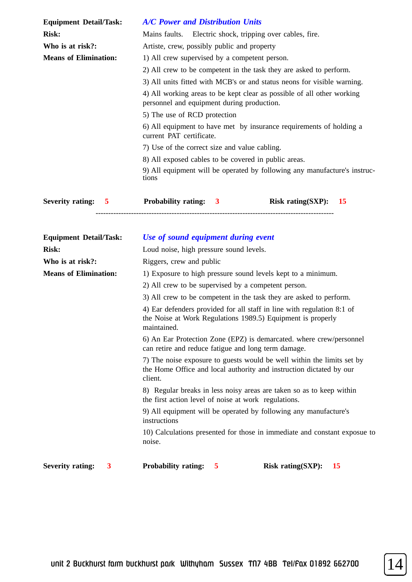| <b>Equipment Detail/Task:</b>                         | <b>A/C Power and Distribution Units</b>                                                                              |
|-------------------------------------------------------|----------------------------------------------------------------------------------------------------------------------|
| <b>Risk:</b>                                          | Mains faults. Electric shock, tripping over cables, fire.                                                            |
| Who is at risk?:                                      | Artiste, crew, possibly public and property                                                                          |
| <b>Means of Elimination:</b>                          | 1) All crew supervised by a competent person.                                                                        |
|                                                       | 2) All crew to be competent in the task they are asked to perform.                                                   |
|                                                       | 3) All units fitted with MCB's or and status neons for visible warning.                                              |
|                                                       | 4) All working areas to be kept clear as possible of all other working<br>personnel and equipment during production. |
|                                                       | 5) The use of RCD protection                                                                                         |
|                                                       | 6) All equipment to have met by insurance requirements of holding a<br>current PAT certificate.                      |
|                                                       | 7) Use of the correct size and value cabling.                                                                        |
|                                                       | 8) All exposed cables to be covered in public areas.                                                                 |
|                                                       | 9) All equipment will be operated by following any manufacture's instruc-<br>tions                                   |
| <b>Severity rating:</b><br>$\overline{\phantom{0}}$ 5 | <b>Probability rating:</b><br>Risk rating(SXP):<br>$\overline{\mathbf{3}}$<br><b>15</b>                              |

| <b>Equipment Detail/Task:</b> | Use of sound equipment during event                                                                                                                      |
|-------------------------------|----------------------------------------------------------------------------------------------------------------------------------------------------------|
| <b>Risk:</b>                  | Loud noise, high pressure sound levels.                                                                                                                  |
| Who is at risk?:              | Riggers, crew and public                                                                                                                                 |
| <b>Means of Elimination:</b>  | 1) Exposure to high pressure sound levels kept to a minimum.                                                                                             |
|                               | 2) All crew to be supervised by a competent person.                                                                                                      |
|                               | 3) All crew to be competent in the task they are asked to perform.                                                                                       |
|                               | 4) Ear defenders provided for all staff in line with regulation 8:1 of<br>the Noise at Work Regulations 1989.5) Equipment is properly<br>maintained.     |
|                               | 6) An Ear Protection Zone (EPZ) is demarcated. where crew/personnel<br>can retire and reduce fatigue and long term damage.                               |
|                               | 7) The noise exposure to guests would be well within the limits set by<br>the Home Office and local authority and instruction dictated by our<br>client. |
|                               | 8) Regular breaks in less noisy areas are taken so as to keep within<br>the first action level of noise at work regulations.                             |
|                               | 9) All equipment will be operated by following any manufacture's<br>instructions                                                                         |
|                               | 10) Calculations presented for those in immediate and constant exposue to<br>noise.                                                                      |
| <b>Severity rating:</b><br>3  | <b>Probability rating:</b><br>Risk rating(SXP):<br>15<br>5                                                                                               |